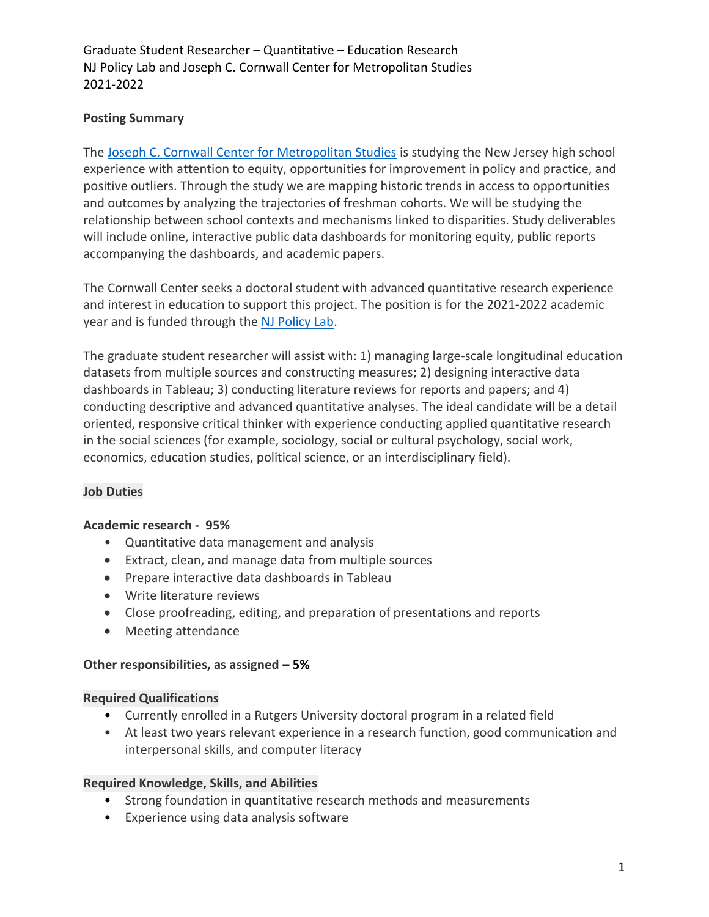Graduate Student Researcher – Quantitative – Education Research NJ Policy Lab and Joseph C. Cornwall Center for Metropolitan Studies 2021-2022

# Posting Summary

The Joseph C. Cornwall Center for Metropolitan Studies is studying the New Jersey high school experience with attention to equity, opportunities for improvement in policy and practice, and positive outliers. Through the study we are mapping historic trends in access to opportunities and outcomes by analyzing the trajectories of freshman cohorts. We will be studying the relationship between school contexts and mechanisms linked to disparities. Study deliverables will include online, interactive public data dashboards for monitoring equity, public reports accompanying the dashboards, and academic papers.

The Cornwall Center seeks a doctoral student with advanced quantitative research experience and interest in education to support this project. The position is for the 2021-2022 academic year and is funded through the NJ Policy Lab.

The graduate student researcher will assist with: 1) managing large-scale longitudinal education datasets from multiple sources and constructing measures; 2) designing interactive data dashboards in Tableau; 3) conducting literature reviews for reports and papers; and 4) conducting descriptive and advanced quantitative analyses. The ideal candidate will be a detail oriented, responsive critical thinker with experience conducting applied quantitative research in the social sciences (for example, sociology, social or cultural psychology, social work, economics, education studies, political science, or an interdisciplinary field).

# Job Duties

# Academic research - 95%

- Quantitative data management and analysis
- Extract, clean, and manage data from multiple sources
- Prepare interactive data dashboards in Tableau
- Write literature reviews
- Close proofreading, editing, and preparation of presentations and reports
- Meeting attendance

### Other responsibilities, as assigned – 5%

### Required Qualifications

- Currently enrolled in a Rutgers University doctoral program in a related field
- At least two years relevant experience in a research function, good communication and interpersonal skills, and computer literacy

### Required Knowledge, Skills, and Abilities

- Strong foundation in quantitative research methods and measurements
- Experience using data analysis software